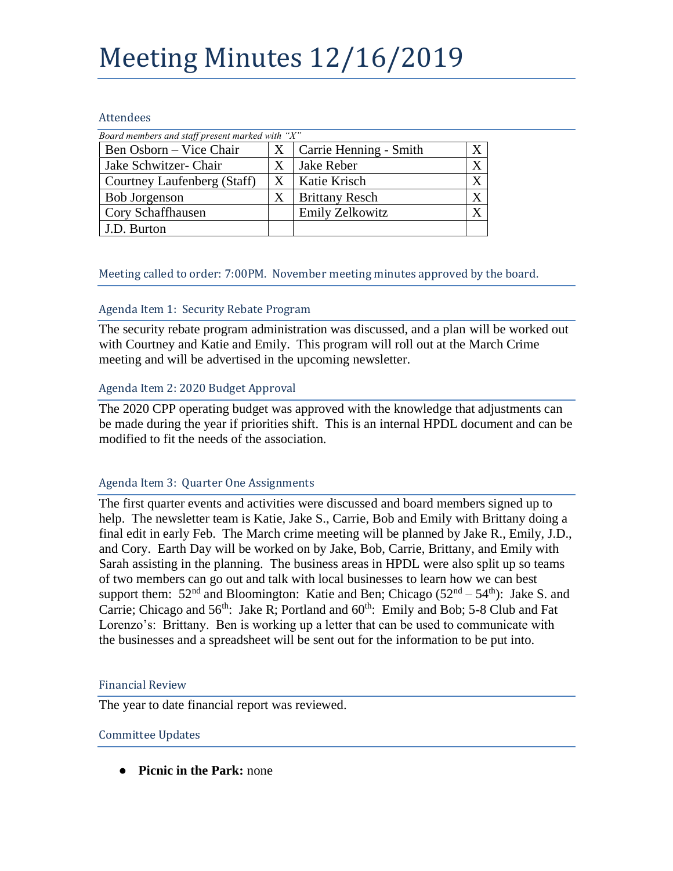# Meeting Minutes 12/16/2019

#### Attendees

| Board members and staff present marked with "X" |   |                        |  |
|-------------------------------------------------|---|------------------------|--|
| Ben Osborn – Vice Chair                         | X | Carrie Henning - Smith |  |
| Jake Schwitzer- Chair                           |   | Jake Reber             |  |
| Courtney Laufenberg (Staff)                     | Х | Katie Krisch           |  |
| <b>Bob Jorgenson</b>                            | X | <b>Brittany Resch</b>  |  |
| Cory Schaffhausen                               |   | Emily Zelkowitz        |  |
| J.D. Burton                                     |   |                        |  |

### Meeting called to order: 7:00PM. November meeting minutes approved by the board.

## Agenda Item 1: Security Rebate Program

The security rebate program administration was discussed, and a plan will be worked out with Courtney and Katie and Emily. This program will roll out at the March Crime meeting and will be advertised in the upcoming newsletter.

### Agenda Item 2: 2020 Budget Approval

The 2020 CPP operating budget was approved with the knowledge that adjustments can be made during the year if priorities shift. This is an internal HPDL document and can be modified to fit the needs of the association.

### Agenda Item 3: Quarter One Assignments

The first quarter events and activities were discussed and board members signed up to help. The newsletter team is Katie, Jake S., Carrie, Bob and Emily with Brittany doing a final edit in early Feb. The March crime meeting will be planned by Jake R., Emily, J.D., and Cory. Earth Day will be worked on by Jake, Bob, Carrie, Brittany, and Emily with Sarah assisting in the planning. The business areas in HPDL were also split up so teams of two members can go out and talk with local businesses to learn how we can best support them:  $52<sup>nd</sup>$  and Bloomington: Katie and Ben; Chicago  $(52<sup>nd</sup> – 54<sup>th</sup>)$ : Jake S. and Carrie; Chicago and  $56<sup>th</sup>$ : Jake R; Portland and  $60<sup>th</sup>$ : Emily and Bob; 5-8 Club and Fat Lorenzo's: Brittany. Ben is working up a letter that can be used to communicate with the businesses and a spreadsheet will be sent out for the information to be put into.

### Financial Review

The year to date financial report was reviewed.

### Committee Updates

● **Picnic in the Park:** none